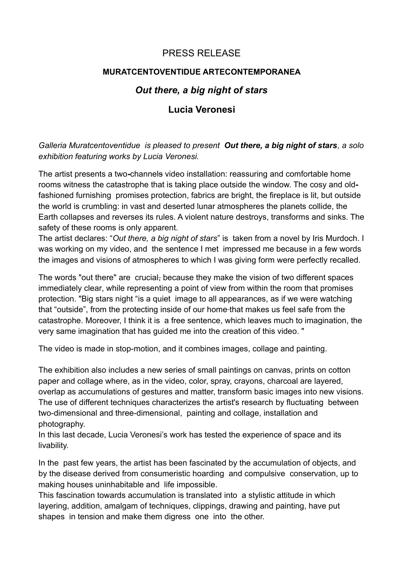## PRESS RELEASE

## **MURATCENTOVENTIDUE ARTECONTEMPORANEA**

## *Out there, a big night of stars*

## **Lucia Veronesi**

*Galleria Muratcentoventidue is pleased to present Out there, a big night of stars, a solo exhibition featuring works by Lucia Veronesi.*

The artist presents a two**-**channels video installation: reassuring and comfortable home rooms witness the catastrophe that is taking place outside the window. The cosy and oldfashioned furnishing promises protection, fabrics are bright, the fireplace is lit, but outside the world is crumbling: in vast and deserted lunar atmospheres the planets collide, the Earth collapses and reverses its rules. A violent nature destroys, transforms and sinks. The safety of these rooms is only apparent.

The artist declares: "*Out there, a big night of stars*" is taken from a novel by Iris Murdoch. I was working on my video, and the sentence I met impressed me because in a few words the images and visions of atmospheres to which I was giving form were perfectly recalled.

The words "out there" are crucial, because they make the vision of two different spaces immediately clear, while representing a point of view from within the room that promises protection. "Big stars night "is a quiet image to all appearances, as if we were watching that "outside", from the protecting inside of our home that makes us feel safe from the catastrophe. Moreover, I think it is a free sentence, which leaves much to imagination, the very same imagination that has guided me into the creation of this video. "

The video is made in stop-motion, and it combines images, collage and painting.

The exhibition also includes a new series of small paintings on canvas, prints on cotton paper and collage where, as in the video, color, spray, crayons, charcoal are layered, overlap as accumulations of gestures and matter, transform basic images into new visions. The use of different techniques characterizes the artist's research by fluctuating between two-dimensional and three-dimensional, painting and collage, installation and photography.

In this last decade, Lucia Veronesi's work has tested the experience of space and its livability.

In the past few years, the artist has been fascinated by the accumulation of objects, and by the disease derived from consumeristic hoarding and compulsive conservation, up to making houses uninhabitable and life impossible.

This fascination towards accumulation is translated into a stylistic attitude in which layering, addition, amalgam of techniques, clippings, drawing and painting, have put shapes in tension and make them digress one into the other.